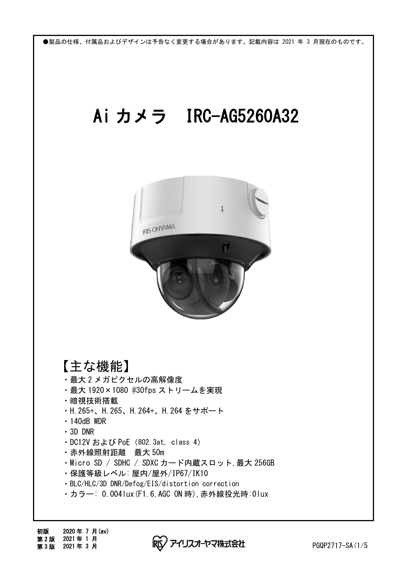## Ai カメラ IRC-AG5260A32



【主な機能】

- ・最大 2 メガピクセルの高解像度
- ・最大 1920×1080 @30fps ストリームを実現
- ・暗視技術搭載
- ・H.265+、H.265、H.264+、H.264 をサポート
- ・140dB WDR
- ・3D DNR
- ・DC12V および PoE(802.3at, class 4)
- ・赤外線照射距離 最大 50m
- ・Micro SD / SDHC / SDXC カード内蔵スロット,最大 256GB
- ・保護等級レベル: 屋内/屋外/IP67/IK10
- ・BLC/HLC/3D DNR/Defog/EIS/distortion correction
- ・カラー: 0.004lux(F1.6,AGC ON 時),赤外線投光時:0lux

アイリスオーヤマ株式会社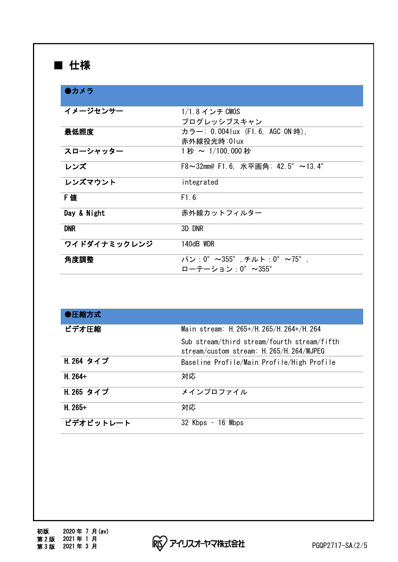## ■ 仕様

| ●カメラ         |                                     |
|--------------|-------------------------------------|
| イメージセンサー     | 1/1.8 インチ CMOS                      |
|              | プログレッシブスキャン                         |
| 最低照度         | カラー: 0.004lux (F1.6, AGC ON時).      |
|              | 赤外線投光時:01ux                         |
| スローシャッター     | 1秒 ~ 1/100.000 秒                    |
| レンズ          | F8~32mm@ F1.6, 水平画角: 42.5° ~13.4°   |
| レンズマウント      | integrated                          |
| F 値          | F1.6                                |
| Day & Night  | 赤外線カットフィルター                         |
| <b>DNR</b>   | 3D DNR                              |
| ワイドダイナミックレンジ | 140dB WDR                           |
| 角度調整         | $\sqrt{2}$ : 0° ~355° モルト: 0° ~75°. |
|              | ローテーション:0°~355°                     |

| ●圧縮方式      |                                                                                          |
|------------|------------------------------------------------------------------------------------------|
| ビデオ圧縮      | Main stream: H. 265+/H. 265/H. 264+/H. 264                                               |
|            | Sub stream/third stream/fourth stream/fifth<br>stream/custom stream: H. 265/H. 264/MJPEG |
| H. 264 タイプ | Baseline Profile/Main Profile/High Profile                                               |
| $H. 264+$  | 対応                                                                                       |
| H. 265 タイプ | メインプロファイル                                                                                |
| $H. 265+$  | 対応                                                                                       |
| ビデオビットレート  | 16 Mbps<br>32 Kbps                                                                       |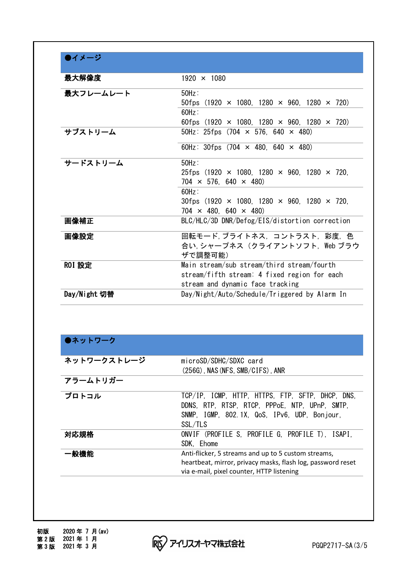| ▶イメージ         |                                                              |
|---------------|--------------------------------------------------------------|
| 最大解像度         | $1920 \times 1080$                                           |
| 最大フレームレート     | $50Hz$ :                                                     |
|               | 50fps $(1920 \times 1080, 1280 \times 960, 1280 \times 720)$ |
|               | $60Hz$ :                                                     |
|               | 60fps $(1920 \times 1080, 1280 \times 960, 1280 \times 720)$ |
| サブストリーム       | 50Hz: 25fps $(704 \times 576, 640 \times 480)$               |
|               | 60Hz: 30fps $(704 \times 480, 640 \times 480)$               |
| サードストリーム      | $50Hz$ :                                                     |
|               | 25fps $(1920 \times 1080, 1280 \times 960, 1280 \times 720,$ |
|               | $704 \times 576, 640 \times 480$                             |
|               | 60Hz:                                                        |
|               | 30fps $(1920 \times 1080, 1280 \times 960, 1280 \times 720,$ |
|               | $704 \times 480, 640 \times 480$                             |
| 画像補正          | BLC/HLC/3D DNR/Defog/EIS/distortion correction               |
| 画像設定          | 回転モード、ブライトネス、コントラスト、彩度、色                                     |
|               | 合い, シャープネス (クライアントソフト, Web ブラウ                               |
|               | ザで調整可能)                                                      |
| <b>ROI 設定</b> | Main stream/sub stream/third stream/fourth                   |
|               | stream/fifth stream: 4 fixed region for each                 |
|               | stream and dynamic face tracking                             |
| Day/Night 切替  | Day/Night/Auto/Schedule/Triggered by Alarm In                |

| ●ネットワーク |  |
|---------|--|
|---------|--|

| ネットワークストレージ | microSD/SDHC/SDXC card                                                                                                                                          |
|-------------|-----------------------------------------------------------------------------------------------------------------------------------------------------------------|
|             | $(256G)$ , NAS (NFS, SMB/CIFS), ANR                                                                                                                             |
| アラームトリガー    |                                                                                                                                                                 |
| プロトコル       | TCP/IP, ICMP, HTTP, HTTPS, FTP, SFTP, DHCP, DNS,<br>DDNS, RTP, RTSP, RTCP, PPPoE, NTP, UPnP, SMTP,<br>SNMP, IGMP, 802.1X, QoS, IPv6, UDP, Bonjour,<br>SSL/TLS   |
| 対応規格        | ONVIF (PROFILE S, PROFILE G, PROFILE T), ISAPI,<br>SDK. Ehome                                                                                                   |
| ·般機能        | Anti-flicker, 5 streams and up to 5 custom streams,<br>heartbeat, mirror, privacy masks, flash log, password reset<br>via e-mail, pixel counter, HTTP listening |

RS アイリスオーヤマ株式会社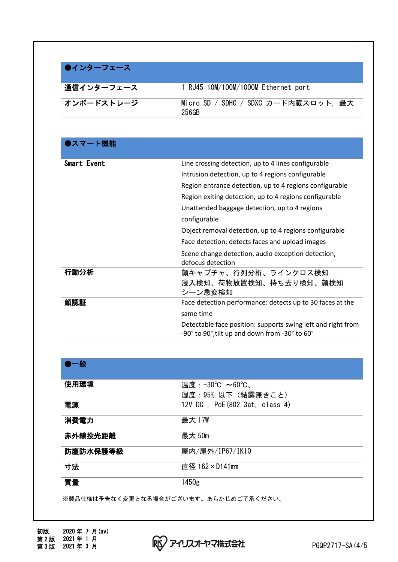| ●インターフェース  |                                               |
|------------|-----------------------------------------------|
| 通信インターフェース | 1 RJ45 10M/100M/1000M Ethernet port           |
| オンボードストレージ | Micro SD / SDHC / SDXC カード内蔵スロット. 最大<br>256GB |

| ●スマート機能     |                                                                                                                |
|-------------|----------------------------------------------------------------------------------------------------------------|
| Smart Event | Line crossing detection, up to 4 lines configurable                                                            |
|             | Intrusion detection, up to 4 regions configurable                                                              |
|             | Region entrance detection, up to 4 regions configurable                                                        |
|             | Region exiting detection, up to 4 regions configurable                                                         |
|             | Unattended baggage detection, up to 4 regions                                                                  |
|             | configurable                                                                                                   |
|             | Object removal detection, up to 4 regions configurable                                                         |
|             | Face detection: detects faces and upload images                                                                |
|             | Scene change detection, audio exception detection,<br>defocus detection                                        |
| 行動分析        | 顔キャプチャ、行列分析、ラインクロス検知                                                                                           |
|             | 浸入検知、荷物放置検知、持ち去り検知、顔検知<br>シーン急変検知                                                                              |
| 顔認証         | Face detection performance: detects up to 30 faces at the                                                      |
|             | same time                                                                                                      |
|             | Detectable face position: supports swing left and right from<br>-90° to 90°, tilt up and down from -30° to 60° |

| 使用環境     | 温度:−30℃ ~60℃、                  |  |
|----------|--------------------------------|--|
|          | 湿度:95% 以下(結露無きこと)              |  |
| 電源       | 12V DC. PoE (802.3at. class 4) |  |
| 消費電力     | 最大 17W                         |  |
| 赤外線投光距離  | 最大 50m                         |  |
| 防塵防水保護等級 | 屋内/屋外/IP67/IK10                |  |
| 寸法       | 直径 162×D141mm                  |  |
| 質量       | 1450g                          |  |